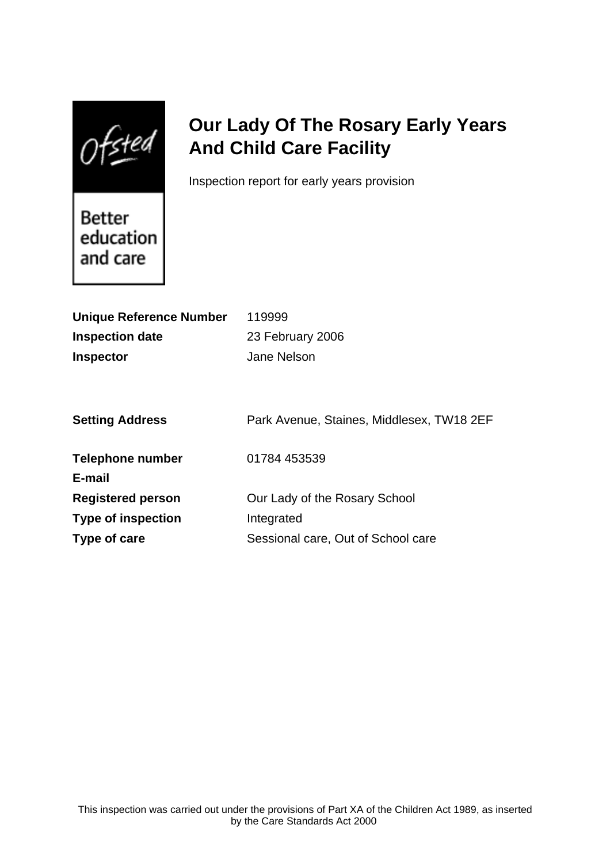Ofsted

# **Our Lady Of The Rosary Early Years And Child Care Facility**

Inspection report for early years provision

Better education and care

| <b>Unique Reference Number</b> | 119999                                    |
|--------------------------------|-------------------------------------------|
| <b>Inspection date</b>         | 23 February 2006                          |
| <b>Inspector</b>               | Jane Nelson                               |
|                                |                                           |
|                                |                                           |
| <b>Setting Address</b>         | Park Avenue, Staines, Middlesex, TW18 2EF |
|                                |                                           |
| Telephone number               | 01784 453539                              |
| E-mail                         |                                           |
| <b>Registered person</b>       | Our Lady of the Rosary School             |
| <b>Type of inspection</b>      | Integrated                                |
| Type of care                   | Sessional care, Out of School care        |
|                                |                                           |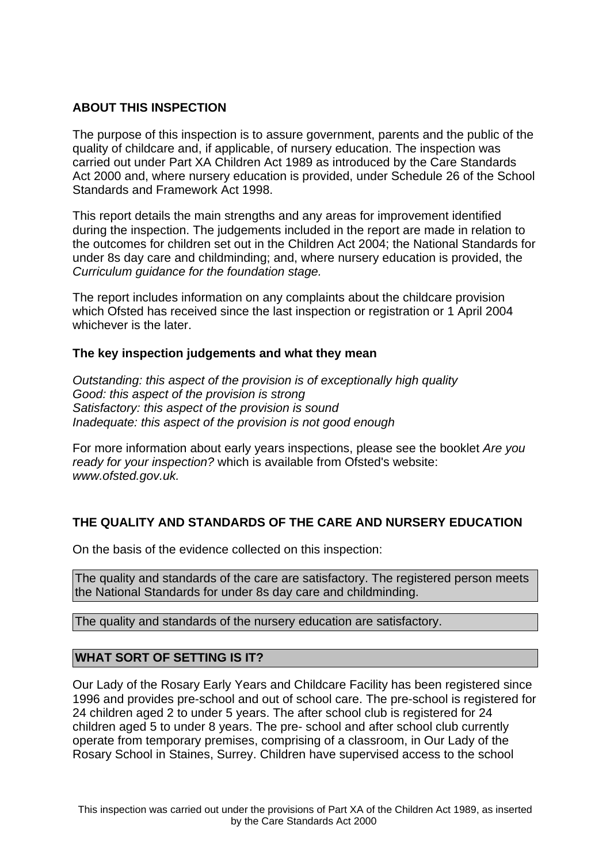# **ABOUT THIS INSPECTION**

The purpose of this inspection is to assure government, parents and the public of the quality of childcare and, if applicable, of nursery education. The inspection was carried out under Part XA Children Act 1989 as introduced by the Care Standards Act 2000 and, where nursery education is provided, under Schedule 26 of the School Standards and Framework Act 1998.

This report details the main strengths and any areas for improvement identified during the inspection. The judgements included in the report are made in relation to the outcomes for children set out in the Children Act 2004; the National Standards for under 8s day care and childminding; and, where nursery education is provided, the Curriculum guidance for the foundation stage.

The report includes information on any complaints about the childcare provision which Ofsted has received since the last inspection or registration or 1 April 2004 whichever is the later.

# **The key inspection judgements and what they mean**

Outstanding: this aspect of the provision is of exceptionally high quality Good: this aspect of the provision is strong Satisfactory: this aspect of the provision is sound Inadequate: this aspect of the provision is not good enough

For more information about early years inspections, please see the booklet Are you ready for your inspection? which is available from Ofsted's website: www.ofsted.gov.uk.

# **THE QUALITY AND STANDARDS OF THE CARE AND NURSERY EDUCATION**

On the basis of the evidence collected on this inspection:

The quality and standards of the care are satisfactory. The registered person meets the National Standards for under 8s day care and childminding.

The quality and standards of the nursery education are satisfactory.

# **WHAT SORT OF SETTING IS IT?**

Our Lady of the Rosary Early Years and Childcare Facility has been registered since 1996 and provides pre-school and out of school care. The pre-school is registered for 24 children aged 2 to under 5 years. The after school club is registered for 24 children aged 5 to under 8 years. The pre- school and after school club currently operate from temporary premises, comprising of a classroom, in Our Lady of the Rosary School in Staines, Surrey. Children have supervised access to the school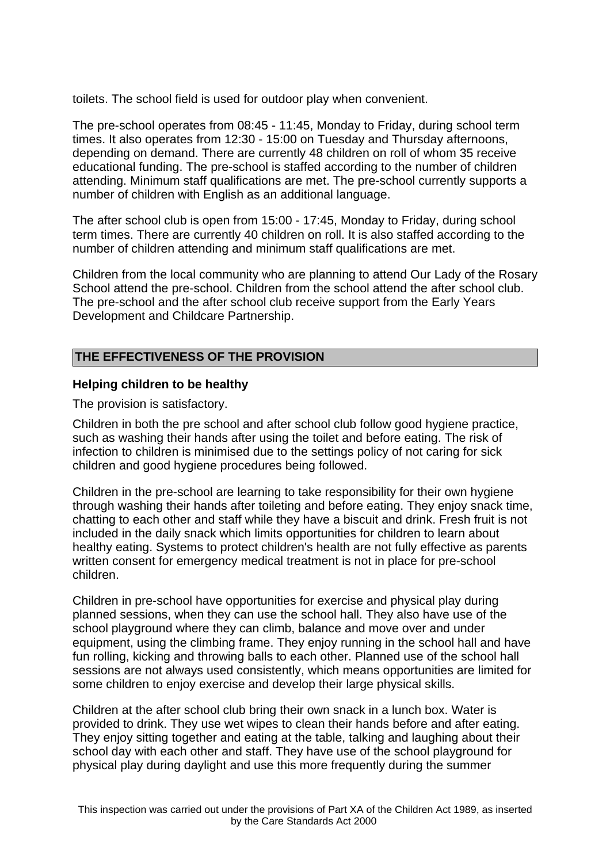toilets. The school field is used for outdoor play when convenient.

The pre-school operates from 08:45 - 11:45, Monday to Friday, during school term times. It also operates from 12:30 - 15:00 on Tuesday and Thursday afternoons, depending on demand. There are currently 48 children on roll of whom 35 receive educational funding. The pre-school is staffed according to the number of children attending. Minimum staff qualifications are met. The pre-school currently supports a number of children with English as an additional language.

The after school club is open from 15:00 - 17:45, Monday to Friday, during school term times. There are currently 40 children on roll. It is also staffed according to the number of children attending and minimum staff qualifications are met.

Children from the local community who are planning to attend Our Lady of the Rosary School attend the pre-school. Children from the school attend the after school club. The pre-school and the after school club receive support from the Early Years Development and Childcare Partnership.

# **THE EFFECTIVENESS OF THE PROVISION**

#### **Helping children to be healthy**

The provision is satisfactory.

Children in both the pre school and after school club follow good hygiene practice, such as washing their hands after using the toilet and before eating. The risk of infection to children is minimised due to the settings policy of not caring for sick children and good hygiene procedures being followed.

Children in the pre-school are learning to take responsibility for their own hygiene through washing their hands after toileting and before eating. They enjoy snack time, chatting to each other and staff while they have a biscuit and drink. Fresh fruit is not included in the daily snack which limits opportunities for children to learn about healthy eating. Systems to protect children's health are not fully effective as parents written consent for emergency medical treatment is not in place for pre-school children.

Children in pre-school have opportunities for exercise and physical play during planned sessions, when they can use the school hall. They also have use of the school playground where they can climb, balance and move over and under equipment, using the climbing frame. They enjoy running in the school hall and have fun rolling, kicking and throwing balls to each other. Planned use of the school hall sessions are not always used consistently, which means opportunities are limited for some children to enjoy exercise and develop their large physical skills.

Children at the after school club bring their own snack in a lunch box. Water is provided to drink. They use wet wipes to clean their hands before and after eating. They enjoy sitting together and eating at the table, talking and laughing about their school day with each other and staff. They have use of the school playground for physical play during daylight and use this more frequently during the summer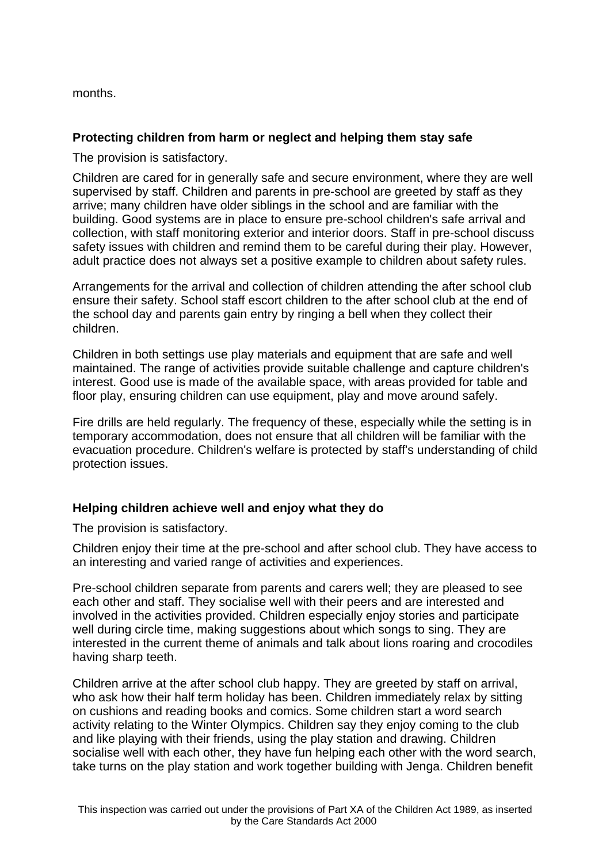months.

# **Protecting children from harm or neglect and helping them stay safe**

The provision is satisfactory.

Children are cared for in generally safe and secure environment, where they are well supervised by staff. Children and parents in pre-school are greeted by staff as they arrive; many children have older siblings in the school and are familiar with the building. Good systems are in place to ensure pre-school children's safe arrival and collection, with staff monitoring exterior and interior doors. Staff in pre-school discuss safety issues with children and remind them to be careful during their play. However, adult practice does not always set a positive example to children about safety rules.

Arrangements for the arrival and collection of children attending the after school club ensure their safety. School staff escort children to the after school club at the end of the school day and parents gain entry by ringing a bell when they collect their children.

Children in both settings use play materials and equipment that are safe and well maintained. The range of activities provide suitable challenge and capture children's interest. Good use is made of the available space, with areas provided for table and floor play, ensuring children can use equipment, play and move around safely.

Fire drills are held regularly. The frequency of these, especially while the setting is in temporary accommodation, does not ensure that all children will be familiar with the evacuation procedure. Children's welfare is protected by staff's understanding of child protection issues.

# **Helping children achieve well and enjoy what they do**

The provision is satisfactory.

Children enjoy their time at the pre-school and after school club. They have access to an interesting and varied range of activities and experiences.

Pre-school children separate from parents and carers well; they are pleased to see each other and staff. They socialise well with their peers and are interested and involved in the activities provided. Children especially enjoy stories and participate well during circle time, making suggestions about which songs to sing. They are interested in the current theme of animals and talk about lions roaring and crocodiles having sharp teeth.

Children arrive at the after school club happy. They are greeted by staff on arrival, who ask how their half term holiday has been. Children immediately relax by sitting on cushions and reading books and comics. Some children start a word search activity relating to the Winter Olympics. Children say they enjoy coming to the club and like playing with their friends, using the play station and drawing. Children socialise well with each other, they have fun helping each other with the word search, take turns on the play station and work together building with Jenga. Children benefit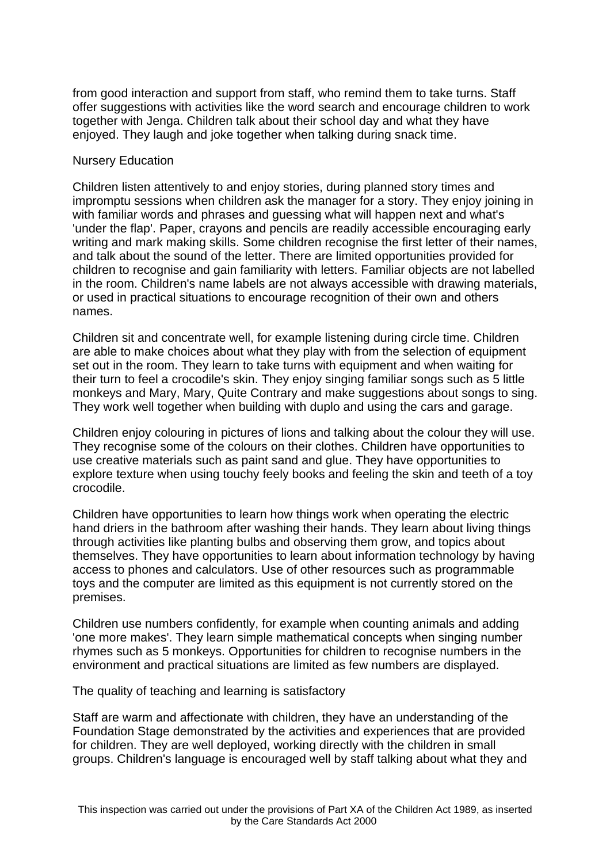from good interaction and support from staff, who remind them to take turns. Staff offer suggestions with activities like the word search and encourage children to work together with Jenga. Children talk about their school day and what they have enjoyed. They laugh and joke together when talking during snack time.

#### Nursery Education

Children listen attentively to and enjoy stories, during planned story times and impromptu sessions when children ask the manager for a story. They enjoy joining in with familiar words and phrases and guessing what will happen next and what's 'under the flap'. Paper, crayons and pencils are readily accessible encouraging early writing and mark making skills. Some children recognise the first letter of their names, and talk about the sound of the letter. There are limited opportunities provided for children to recognise and gain familiarity with letters. Familiar objects are not labelled in the room. Children's name labels are not always accessible with drawing materials, or used in practical situations to encourage recognition of their own and others names.

Children sit and concentrate well, for example listening during circle time. Children are able to make choices about what they play with from the selection of equipment set out in the room. They learn to take turns with equipment and when waiting for their turn to feel a crocodile's skin. They enjoy singing familiar songs such as 5 little monkeys and Mary, Mary, Quite Contrary and make suggestions about songs to sing. They work well together when building with duplo and using the cars and garage.

Children enjoy colouring in pictures of lions and talking about the colour they will use. They recognise some of the colours on their clothes. Children have opportunities to use creative materials such as paint sand and glue. They have opportunities to explore texture when using touchy feely books and feeling the skin and teeth of a toy crocodile.

Children have opportunities to learn how things work when operating the electric hand driers in the bathroom after washing their hands. They learn about living things through activities like planting bulbs and observing them grow, and topics about themselves. They have opportunities to learn about information technology by having access to phones and calculators. Use of other resources such as programmable toys and the computer are limited as this equipment is not currently stored on the premises.

Children use numbers confidently, for example when counting animals and adding 'one more makes'. They learn simple mathematical concepts when singing number rhymes such as 5 monkeys. Opportunities for children to recognise numbers in the environment and practical situations are limited as few numbers are displayed.

The quality of teaching and learning is satisfactory

Staff are warm and affectionate with children, they have an understanding of the Foundation Stage demonstrated by the activities and experiences that are provided for children. They are well deployed, working directly with the children in small groups. Children's language is encouraged well by staff talking about what they and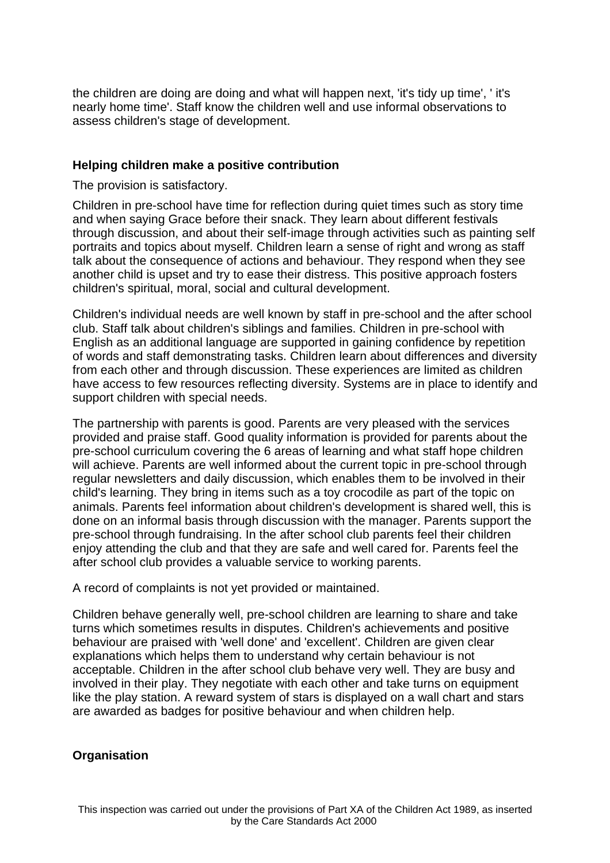the children are doing are doing and what will happen next, 'it's tidy up time', ' it's nearly home time'. Staff know the children well and use informal observations to assess children's stage of development.

#### **Helping children make a positive contribution**

The provision is satisfactory.

Children in pre-school have time for reflection during quiet times such as story time and when saying Grace before their snack. They learn about different festivals through discussion, and about their self-image through activities such as painting self portraits and topics about myself. Children learn a sense of right and wrong as staff talk about the consequence of actions and behaviour. They respond when they see another child is upset and try to ease their distress. This positive approach fosters children's spiritual, moral, social and cultural development.

Children's individual needs are well known by staff in pre-school and the after school club. Staff talk about children's siblings and families. Children in pre-school with English as an additional language are supported in gaining confidence by repetition of words and staff demonstrating tasks. Children learn about differences and diversity from each other and through discussion. These experiences are limited as children have access to few resources reflecting diversity. Systems are in place to identify and support children with special needs.

The partnership with parents is good. Parents are very pleased with the services provided and praise staff. Good quality information is provided for parents about the pre-school curriculum covering the 6 areas of learning and what staff hope children will achieve. Parents are well informed about the current topic in pre-school through regular newsletters and daily discussion, which enables them to be involved in their child's learning. They bring in items such as a toy crocodile as part of the topic on animals. Parents feel information about children's development is shared well, this is done on an informal basis through discussion with the manager. Parents support the pre-school through fundraising. In the after school club parents feel their children enjoy attending the club and that they are safe and well cared for. Parents feel the after school club provides a valuable service to working parents.

A record of complaints is not yet provided or maintained.

Children behave generally well, pre-school children are learning to share and take turns which sometimes results in disputes. Children's achievements and positive behaviour are praised with 'well done' and 'excellent'. Children are given clear explanations which helps them to understand why certain behaviour is not acceptable. Children in the after school club behave very well. They are busy and involved in their play. They negotiate with each other and take turns on equipment like the play station. A reward system of stars is displayed on a wall chart and stars are awarded as badges for positive behaviour and when children help.

# **Organisation**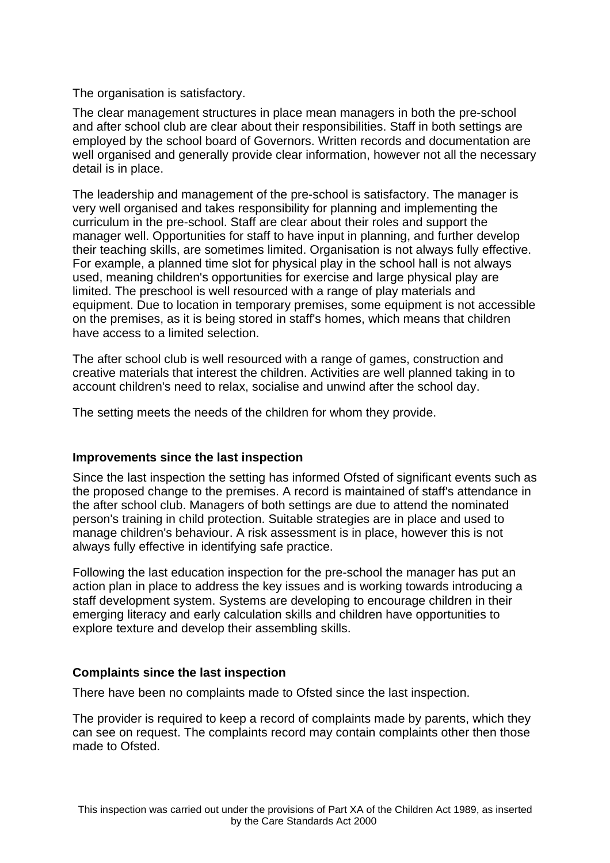The organisation is satisfactory.

The clear management structures in place mean managers in both the pre-school and after school club are clear about their responsibilities. Staff in both settings are employed by the school board of Governors. Written records and documentation are well organised and generally provide clear information, however not all the necessary detail is in place.

The leadership and management of the pre-school is satisfactory. The manager is very well organised and takes responsibility for planning and implementing the curriculum in the pre-school. Staff are clear about their roles and support the manager well. Opportunities for staff to have input in planning, and further develop their teaching skills, are sometimes limited. Organisation is not always fully effective. For example, a planned time slot for physical play in the school hall is not always used, meaning children's opportunities for exercise and large physical play are limited. The preschool is well resourced with a range of play materials and equipment. Due to location in temporary premises, some equipment is not accessible on the premises, as it is being stored in staff's homes, which means that children have access to a limited selection.

The after school club is well resourced with a range of games, construction and creative materials that interest the children. Activities are well planned taking in to account children's need to relax, socialise and unwind after the school day.

The setting meets the needs of the children for whom they provide.

# **Improvements since the last inspection**

Since the last inspection the setting has informed Ofsted of significant events such as the proposed change to the premises. A record is maintained of staff's attendance in the after school club. Managers of both settings are due to attend the nominated person's training in child protection. Suitable strategies are in place and used to manage children's behaviour. A risk assessment is in place, however this is not always fully effective in identifying safe practice.

Following the last education inspection for the pre-school the manager has put an action plan in place to address the key issues and is working towards introducing a staff development system. Systems are developing to encourage children in their emerging literacy and early calculation skills and children have opportunities to explore texture and develop their assembling skills.

# **Complaints since the last inspection**

There have been no complaints made to Ofsted since the last inspection.

The provider is required to keep a record of complaints made by parents, which they can see on request. The complaints record may contain complaints other then those made to Ofsted.